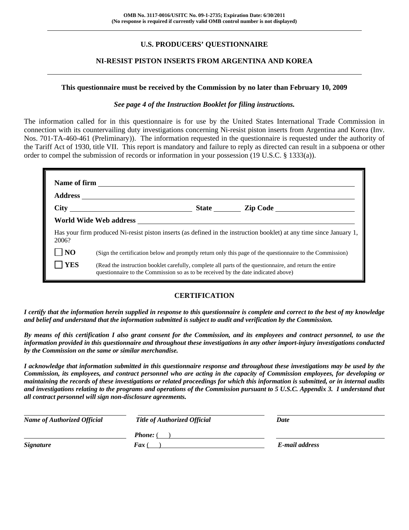# **U.S. PRODUCERS' QUESTIONNAIRE**

## **NI-RESIST PISTON INSERTS FROM ARGENTINA AND KOREA**

#### **This questionnaire must be received by the Commission by no later than February 10, 2009**

### *See page 4 of the Instruction Booklet for filing instructions.*

The information called for in this questionnaire is for use by the United States International Trade Commission in connection with its countervailing duty investigations concerning Ni-resist piston inserts from Argentina and Korea (Inv. Nos. 701-TA-460-461 (Preliminary)). The information requested in the questionnaire is requested under the authority of the Tariff Act of 1930, title VII. This report is mandatory and failure to reply as directed can result in a subpoena or other order to compel the submission of records or information in your possession (19 U.S.C. § 1333(a)).

| 2006?          | Has your firm produced Ni-resist piston inserts (as defined in the instruction booklet) at any time since January 1,                                                                         |
|----------------|----------------------------------------------------------------------------------------------------------------------------------------------------------------------------------------------|
| N <sub>O</sub> | (Sign the certification below and promptly return only this page of the questionnaire to the Commission)                                                                                     |
| <b>YES</b>     | (Read the instruction booklet carefully, complete all parts of the questionnaire, and return the entire<br>questionnaire to the Commission so as to be received by the date indicated above) |

### **CERTIFICATION**

*I certify that the information herein supplied in response to this questionnaire is complete and correct to the best of my knowledge and belief and understand that the information submitted is subject to audit and verification by the Commission.* 

*By means of this certification I also grant consent for the Commission, and its employees and contract personnel, to use the information provided in this questionnaire and throughout these investigations in any other import-injury investigations conducted by the Commission on the same or similar merchandise.* 

*I acknowledge that information submitted in this questionnaire response and throughout these investigations may be used by the Commission, its employees, and contract personnel who are acting in the capacity of Commission employees, for developing or maintaining the records of these investigations or related proceedings for which this information is submitted, or in internal audits and investigations relating to the programs and operations of the Commission pursuant to 5 U.S.C. Appendix 3. I understand that all contract personnel will sign non-disclosure agreements.* 

| <b>Name of Authorized Official</b> | <b>Title of Authorized Official</b> | Date           |
|------------------------------------|-------------------------------------|----------------|
|                                    | <b>Phone:</b> (                     |                |
| <b>Signature</b>                   | <b>Fax</b> (                        | E-mail address |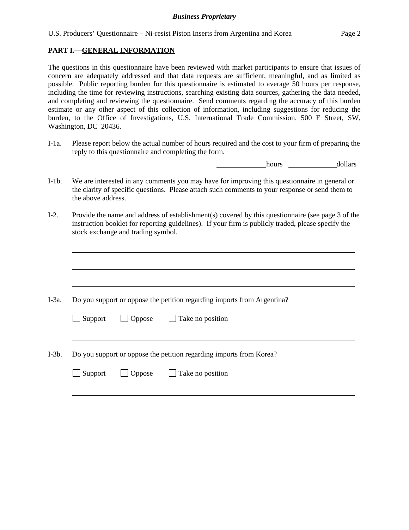## **PART I.—GENERAL INFORMATION**

l

The questions in this questionnaire have been reviewed with market participants to ensure that issues of concern are adequately addressed and that data requests are sufficient, meaningful, and as limited as possible. Public reporting burden for this questionnaire is estimated to average 50 hours per response, including the time for reviewing instructions, searching existing data sources, gathering the data needed, and completing and reviewing the questionnaire. Send comments regarding the accuracy of this burden estimate or any other aspect of this collection of information, including suggestions for reducing the burden, to the Office of Investigations, U.S. International Trade Commission, 500 E Street, SW, Washington, DC 20436.

I-1a. Please report below the actual number of hours required and the cost to your firm of preparing the reply to this questionnaire and completing the form.

hours dollars

- I-1b. We are interested in any comments you may have for improving this questionnaire in general or the clarity of specific questions. Please attach such comments to your response or send them to the above address.
- I-2. Provide the name and address of establishment(s) covered by this questionnaire (see page 3 of the instruction booklet for reporting guidelines). If your firm is publicly traded, please specify the stock exchange and trading symbol.

| I-3a. | Do you support or oppose the petition regarding imports from Argentina? |
|-------|-------------------------------------------------------------------------|
|       | $\Box$ Oppose $\Box$ Take no position<br>$\Box$ Support                 |
|       |                                                                         |
| I-3b. | Do you support or oppose the petition regarding imports from Korea?     |
|       | $\Box$ Oppose $\Box$ Take no position<br>Support                        |
|       |                                                                         |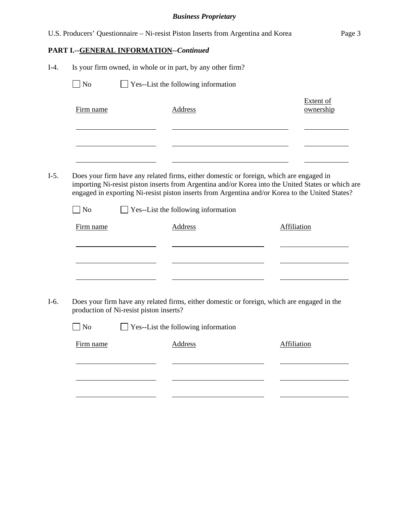|        |                             |                                         | U.S. Producers' Questionnaire - Ni-resist Piston Inserts from Argentina and Korea                                                                                                                                                                                                                | Page 3                        |
|--------|-----------------------------|-----------------------------------------|--------------------------------------------------------------------------------------------------------------------------------------------------------------------------------------------------------------------------------------------------------------------------------------------------|-------------------------------|
|        |                             | PART I.--GENERAL INFORMATION--Continued |                                                                                                                                                                                                                                                                                                  |                               |
| $I-4.$ |                             |                                         | Is your firm owned, in whole or in part, by any other firm?                                                                                                                                                                                                                                      |                               |
|        | $\Box$ No                   |                                         | $\Box$ Yes--List the following information                                                                                                                                                                                                                                                       |                               |
|        | Firm name                   |                                         | <b>Address</b>                                                                                                                                                                                                                                                                                   | <b>Extent of</b><br>ownership |
| $I-5.$ |                             |                                         | Does your firm have any related firms, either domestic or foreign, which are engaged in<br>importing Ni-resist piston inserts from Argentina and/or Korea into the United States or which are<br>engaged in exporting Ni-resist piston inserts from Argentina and/or Korea to the United States? |                               |
|        | $\overline{\phantom{a}}$ No |                                         | $\Box$ Yes--List the following information                                                                                                                                                                                                                                                       |                               |
|        | Firm name                   |                                         | <b>Address</b>                                                                                                                                                                                                                                                                                   | Affiliation                   |
|        |                             |                                         |                                                                                                                                                                                                                                                                                                  |                               |
| $I-6.$ |                             | production of Ni-resist piston inserts? | Does your firm have any related firms, either domestic or foreign, which are engaged in the                                                                                                                                                                                                      |                               |
|        | $\Box$ No                   |                                         | $\Box$ Yes--List the following information                                                                                                                                                                                                                                                       |                               |
|        | Firm name                   |                                         | <b>Address</b>                                                                                                                                                                                                                                                                                   | <b>Affiliation</b>            |
|        |                             |                                         |                                                                                                                                                                                                                                                                                                  |                               |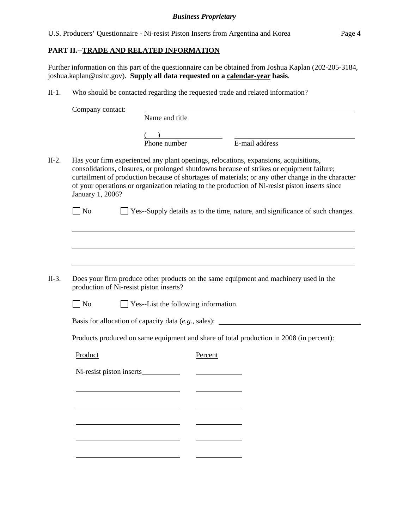U.S. Producers' Questionnaire - Ni-resist Piston Inserts from Argentina and Korea Page 4

### **PART II.--TRADE AND RELATED INFORMATION**

Further information on this part of the questionnaire can be obtained from Joshua Kaplan (202-205-3184, joshua.kaplan@usitc.gov). **Supply all data requested on a calendar-year basis**.

II-1. Who should be contacted regarding the requested trade and related information?

Company contact: Name and title  $\frac{1}{2}$ Phone number E-mail address II-2. Has your firm experienced any plant openings, relocations, expansions, acquisitions, consolidations, closures, or prolonged shutdowns because of strikes or equipment failure; curtailment of production because of shortages of materials; or any other change in the character of your operations or organization relating to the production of Ni-resist piston inserts since January 1, 2006?  $\Box$  No  $\Box$  Yes--Supply details as to the time, nature, and significance of such changes.  $\overline{a}$  $\overline{a}$  $\overline{a}$ II-3. Does your firm produce other products on the same equipment and machinery used in the production of Ni-resist piston inserts?  $\Box$  No  $\Box$  Yes--List the following information. Basis for allocation of capacity data (*e.g.*, sales): Products produced on same equipment and share of total production in 2008 (in percent): Product Percent Ni-resist piston inserts l l l l l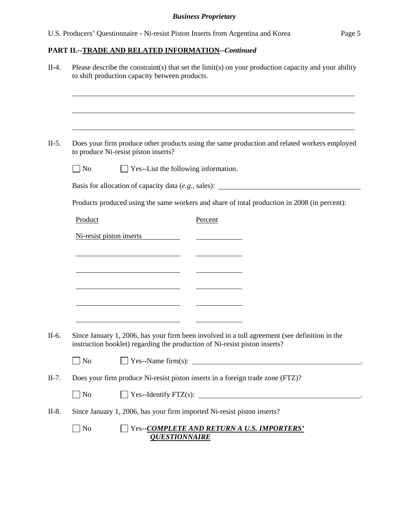# **PART II.--TRADE AND RELATED INFORMATION***--Continued*

|           | Please describe the constraint(s) that set the limit(s) on your production capacity and your ability<br>to shift production capacity between products.                                                                   |  |  |
|-----------|--------------------------------------------------------------------------------------------------------------------------------------------------------------------------------------------------------------------------|--|--|
|           |                                                                                                                                                                                                                          |  |  |
|           | ,我们也不会有什么。""我们的人,我们也不会有什么?""我们的人,我们也不会有什么?""我们的人,我们也不会有什么?""我们的人,我们也不会有什么?""我们的人<br>Does your firm produce other products using the same production and related workers employed<br>to produce Ni-resist piston inserts? |  |  |
| $\Box$ No | $\Box$ Yes--List the following information.                                                                                                                                                                              |  |  |
|           | Basis for allocation of capacity data (e.g., sales): ____________________________                                                                                                                                        |  |  |
|           | Products produced using the same workers and share of total production in 2008 (in percent):                                                                                                                             |  |  |
| Product   | Percent                                                                                                                                                                                                                  |  |  |
|           | Ni-resist piston inserts                                                                                                                                                                                                 |  |  |
|           | <u> 1989 - Johann Barn, fransk politik (d. 1989)</u>                                                                                                                                                                     |  |  |
|           | <u> 1989 - Johann Barn, mars et al. (b. 1989)</u>                                                                                                                                                                        |  |  |
|           |                                                                                                                                                                                                                          |  |  |
|           | <u> 1989 - Johann Barbara, martxa al-A</u>                                                                                                                                                                               |  |  |
|           |                                                                                                                                                                                                                          |  |  |
|           | Since January 1, 2006, has your firm been involved in a toll agreement (see definition in the<br>instruction booklet) regarding the production of Ni-resist piston inserts?                                              |  |  |
|           | $\Box$ No $\Box$ Yes--Name firm(s):                                                                                                                                                                                      |  |  |
|           | Does your firm produce Ni-resist piston inserts in a foreign trade zone (FTZ)?                                                                                                                                           |  |  |
| $\Box$ No | $\Box$ Yes--Identify FTZ(s): $\Box$                                                                                                                                                                                      |  |  |
|           | Since January 1, 2006, has your firm imported Ni-resist piston inserts?                                                                                                                                                  |  |  |
| $\Box$ No | Yes--COMPLETE AND RETURN A U.S. IMPORTERS'<br><b>QUESTIONNAIRE</b>                                                                                                                                                       |  |  |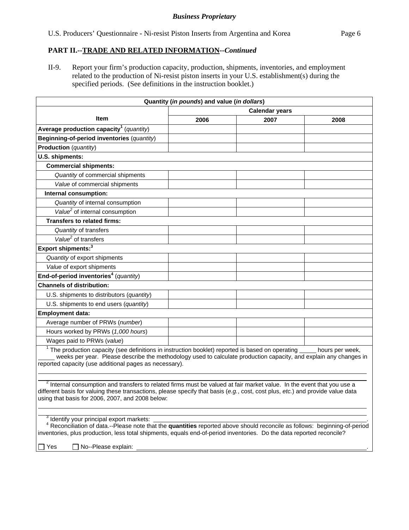# **PART II.--TRADE AND RELATED INFORMATION***--Continued*

II-9. Report your firm's production capacity, production, shipments, inventories, and employment related to the production of Ni-resist piston inserts in your U.S. establishment(s) during the specified periods. (See definitions in the instruction booklet.)

| Quantity (in pounds) and value (in dollars)                                                                                                                                                                                                                                                                            |      |      |                 |  |
|------------------------------------------------------------------------------------------------------------------------------------------------------------------------------------------------------------------------------------------------------------------------------------------------------------------------|------|------|-----------------|--|
| <b>Calendar years</b>                                                                                                                                                                                                                                                                                                  |      |      |                 |  |
| Item                                                                                                                                                                                                                                                                                                                   | 2006 | 2007 | 2008            |  |
| Average production capacity <sup>1</sup> (quantity)                                                                                                                                                                                                                                                                    |      |      |                 |  |
| Beginning-of-period inventories (quantity)                                                                                                                                                                                                                                                                             |      |      |                 |  |
| Production (quantity)                                                                                                                                                                                                                                                                                                  |      |      |                 |  |
| U.S. shipments:                                                                                                                                                                                                                                                                                                        |      |      |                 |  |
| <b>Commercial shipments:</b>                                                                                                                                                                                                                                                                                           |      |      |                 |  |
| Quantity of commercial shipments                                                                                                                                                                                                                                                                                       |      |      |                 |  |
| Value of commercial shipments                                                                                                                                                                                                                                                                                          |      |      |                 |  |
| Internal consumption:                                                                                                                                                                                                                                                                                                  |      |      |                 |  |
| Quantity of internal consumption                                                                                                                                                                                                                                                                                       |      |      |                 |  |
| Value <sup>2</sup> of internal consumption                                                                                                                                                                                                                                                                             |      |      |                 |  |
| <b>Transfers to related firms:</b>                                                                                                                                                                                                                                                                                     |      |      |                 |  |
| Quantity of transfers                                                                                                                                                                                                                                                                                                  |      |      |                 |  |
| Value <sup>2</sup> of transfers                                                                                                                                                                                                                                                                                        |      |      |                 |  |
| Export shipments: <sup>3</sup>                                                                                                                                                                                                                                                                                         |      |      |                 |  |
| Quantity of export shipments                                                                                                                                                                                                                                                                                           |      |      |                 |  |
| Value of export shipments                                                                                                                                                                                                                                                                                              |      |      |                 |  |
| End-of-period inventories <sup>4</sup> (quantity)                                                                                                                                                                                                                                                                      |      |      |                 |  |
| <b>Channels of distribution:</b>                                                                                                                                                                                                                                                                                       |      |      |                 |  |
| U.S. shipments to distributors (quantity)                                                                                                                                                                                                                                                                              |      |      |                 |  |
| U.S. shipments to end users (quantity)                                                                                                                                                                                                                                                                                 |      |      |                 |  |
| <b>Employment data:</b>                                                                                                                                                                                                                                                                                                |      |      |                 |  |
| Average number of PRWs (number)                                                                                                                                                                                                                                                                                        |      |      |                 |  |
| Hours worked by PRWs (1,000 hours)                                                                                                                                                                                                                                                                                     |      |      |                 |  |
| Wages paid to PRWs (value)                                                                                                                                                                                                                                                                                             |      |      |                 |  |
| $1$ The production capacity (see definitions in instruction booklet) reported is based on operating<br>weeks per year. Please describe the methodology used to calculate production capacity, and explain any changes in<br>reported capacity (use additional pages as necessary).                                     |      |      | hours per week, |  |
| $2$ Internal consumption and transfers to related firms must be valued at fair market value. In the event that you use a<br>different basis for valuing these transactions, please specify that basis (e.g., cost, cost plus, etc.) and provide value data<br>using that basis for 2006, 2007, and 2008 below:         |      |      |                 |  |
| <sup>3</sup> Identify your principal export markets:<br><sup>4</sup> Reconciliation of data.--Please note that the quantities reported above should reconcile as follows: beginning-of-period<br>inventories, plus production, less total shipments, equals end-of-period inventories. Do the data reported reconcile? |      |      |                 |  |

 $\Box$  Yes  $\Box$  No--Please explain: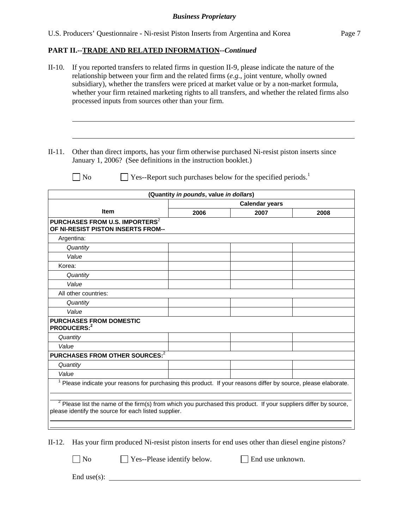# **PART II.--TRADE AND RELATED INFORMATION***--Continued*

|          | If you reported transfers to related firms in question II-9, please indicate the nature of the<br>relationship between your firm and the related firms $(e.g.,$ joint venture, wholly owned<br>subsidiary), whether the transfers were priced at market value or by a non-market formula,<br>whether your firm retained marketing rights to all transfers, and whether the related firms also<br>processed inputs from sources other than your firm. |                                        |                                                             |      |  |  |
|----------|------------------------------------------------------------------------------------------------------------------------------------------------------------------------------------------------------------------------------------------------------------------------------------------------------------------------------------------------------------------------------------------------------------------------------------------------------|----------------------------------------|-------------------------------------------------------------|------|--|--|
| $II-11.$ | Other than direct imports, has your firm otherwise purchased Ni-resist piston inserts since<br>January 1, 2006? (See definitions in the instruction booklet.)                                                                                                                                                                                                                                                                                        |                                        |                                                             |      |  |  |
|          | No                                                                                                                                                                                                                                                                                                                                                                                                                                                   |                                        | Yes--Report such purchases below for the specified periods. |      |  |  |
|          |                                                                                                                                                                                                                                                                                                                                                                                                                                                      | (Quantity in pounds, value in dollars) |                                                             |      |  |  |
|          |                                                                                                                                                                                                                                                                                                                                                                                                                                                      |                                        | <b>Calendar years</b>                                       |      |  |  |
|          | <b>Item</b>                                                                                                                                                                                                                                                                                                                                                                                                                                          | 2006                                   | 2007                                                        | 2008 |  |  |
|          | PURCHASES FROM U.S. IMPORTERS <sup>2</sup><br>OF NI-RESIST PISTON INSERTS FROM--                                                                                                                                                                                                                                                                                                                                                                     |                                        |                                                             |      |  |  |
|          | Argentina:                                                                                                                                                                                                                                                                                                                                                                                                                                           |                                        |                                                             |      |  |  |
|          | Quantity                                                                                                                                                                                                                                                                                                                                                                                                                                             |                                        |                                                             |      |  |  |
|          | Value                                                                                                                                                                                                                                                                                                                                                                                                                                                |                                        |                                                             |      |  |  |
| Korea:   |                                                                                                                                                                                                                                                                                                                                                                                                                                                      |                                        |                                                             |      |  |  |
|          | Quantity                                                                                                                                                                                                                                                                                                                                                                                                                                             |                                        |                                                             |      |  |  |
|          | Value                                                                                                                                                                                                                                                                                                                                                                                                                                                |                                        |                                                             |      |  |  |
|          | All other countries:                                                                                                                                                                                                                                                                                                                                                                                                                                 |                                        |                                                             |      |  |  |
|          | Quantity                                                                                                                                                                                                                                                                                                                                                                                                                                             |                                        |                                                             |      |  |  |
|          | Value                                                                                                                                                                                                                                                                                                                                                                                                                                                |                                        |                                                             |      |  |  |
|          | <b>PURCHASES FROM DOMESTIC</b><br>PRODUCERS:2                                                                                                                                                                                                                                                                                                                                                                                                        |                                        |                                                             |      |  |  |
|          | Quantity                                                                                                                                                                                                                                                                                                                                                                                                                                             |                                        |                                                             |      |  |  |
| Value    |                                                                                                                                                                                                                                                                                                                                                                                                                                                      |                                        |                                                             |      |  |  |
|          | PURCHASES FROM OTHER SOURCES: <sup>2</sup>                                                                                                                                                                                                                                                                                                                                                                                                           |                                        |                                                             |      |  |  |
|          | Quantity                                                                                                                                                                                                                                                                                                                                                                                                                                             |                                        |                                                             |      |  |  |
| Value    |                                                                                                                                                                                                                                                                                                                                                                                                                                                      |                                        |                                                             |      |  |  |
|          | Please indicate your reasons for purchasing this product. If your reasons differ by source, please elaborate.                                                                                                                                                                                                                                                                                                                                        |                                        |                                                             |      |  |  |
|          | <sup>2</sup> Please list the name of the firm(s) from which you purchased this product. If your suppliers differ by source,<br>please identify the source for each listed supplier.                                                                                                                                                                                                                                                                  |                                        |                                                             |      |  |  |

II-12. Has your firm produced Ni-resist piston inserts for end uses other than diesel engine pistons?

No  $\Box$  Yes--Please identify below.  $\Box$  End use unknown.

End use(s):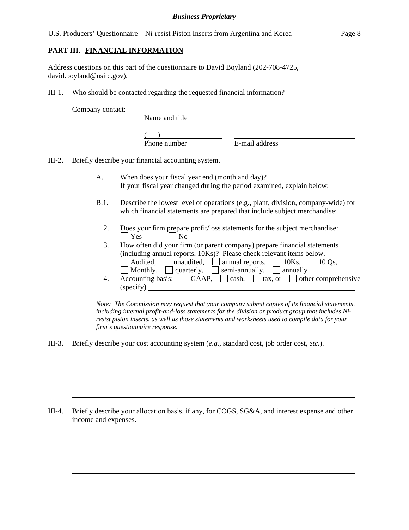### **PART III.--FINANCIAL INFORMATION**

Address questions on this part of the questionnaire to David Boyland (202-708-4725, david.boyland@usitc.gov).

III-1. Who should be contacted regarding the requested financial information?

Company contact:

l

 $\overline{a}$ 

 $\overline{a}$ 

 $\overline{a}$ 

 $\overline{a}$ 

 $\overline{a}$ 

Name and title

 $\frac{1}{2}$ Phone number

E-mail address

III-2. Briefly describe your financial accounting system.

l

- A. When does your fiscal year end (month and day)? If your fiscal year changed during the period examined, explain below:
- B.1. Describe the lowest level of operations (e.g., plant, division, company-wide) for which financial statements are prepared that include subject merchandise:
	- l 2. Does your firm prepare profit/loss statements for the subject merchandise:  $\Box$  Yes  $\Box$  No
	- 3. How often did your firm (or parent company) prepare financial statements (including annual reports, 10Ks)? Please check relevant items below. Audited, unaudited, annual reports,  $\Box$  10Ks,  $\Box$  10 Qs, Monthly,  $\Box$  quarterly,  $\Box$  semi-annually,  $\Box$  annually
	- 4. Accounting basis:  $\Box$  GAAP,  $\Box$  cash,  $\Box$  tax, or  $\Box$  other comprehensive (specify)

*Note: The Commission may request that your company submit copies of its financial statements, including internal profit-and-loss statements for the division or product group that includes Niresist piston inserts, as well as those statements and worksheets used to compile data for your firm's questionnaire response.* 

III-3. Briefly describe your cost accounting system (*e.g.*, standard cost, job order cost, *etc.*).

III-4. Briefly describe your allocation basis, if any, for COGS, SG&A, and interest expense and other income and expenses.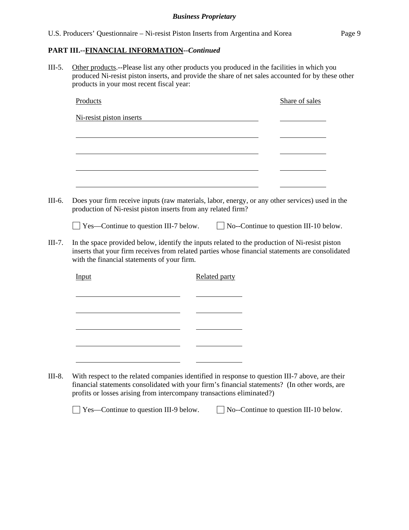### **PART III.--FINANCIAL INFORMATION***--Continued*

III-5. Other products.--Please list any other products you produced in the facilities in which you produced Ni-resist piston inserts, and provide the share of net sales accounted for by these other products in your most recent fiscal year:

| Ni-resist piston inserts                    |                                                                                                                                                                                                    |
|---------------------------------------------|----------------------------------------------------------------------------------------------------------------------------------------------------------------------------------------------------|
|                                             |                                                                                                                                                                                                    |
|                                             |                                                                                                                                                                                                    |
|                                             |                                                                                                                                                                                                    |
|                                             |                                                                                                                                                                                                    |
|                                             |                                                                                                                                                                                                    |
|                                             |                                                                                                                                                                                                    |
|                                             | Does your firm receive inputs (raw materials, labor, energy, or any other services) used in the<br>production of Ni-resist piston inserts from any related firm?                                   |
|                                             | $\Box$ Yes—Continue to question III-7 below. $\Box$ No--Continue to question III-10 below.                                                                                                         |
|                                             |                                                                                                                                                                                                    |
| with the financial statements of your firm. | In the space provided below, identify the inputs related to the production of Ni-resist piston<br>inserts that your firm receives from related parties whose financial statements are consolidated |
| Input                                       | <b>Related party</b>                                                                                                                                                                               |
|                                             |                                                                                                                                                                                                    |
|                                             |                                                                                                                                                                                                    |
|                                             |                                                                                                                                                                                                    |
|                                             |                                                                                                                                                                                                    |
|                                             |                                                                                                                                                                                                    |
|                                             |                                                                                                                                                                                                    |
|                                             |                                                                                                                                                                                                    |

financial statements consolidated with your firm's financial statements? (In other words, are profits or losses arising from intercompany transactions eliminated?)

 $\Box$  Yes—Continue to question III-9 below.  $\Box$  No--Continue to question III-10 below.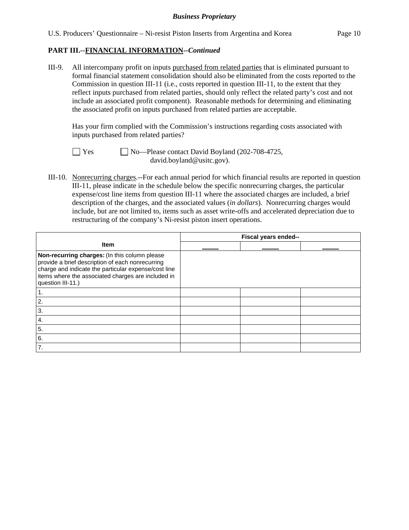III-9. All intercompany profit on inputs purchased from related parties that is eliminated pursuant to formal financial statement consolidation should also be eliminated from the costs reported to the Commission in question III-11 (i.e., costs reported in question III-11, to the extent that they reflect inputs purchased from related parties, should only reflect the related party's cost and not include an associated profit component). Reasonable methods for determining and eliminating the associated profit on inputs purchased from related parties are acceptable.

 Has your firm complied with the Commission's instructions regarding costs associated with inputs purchased from related parties?

 $\Box$  Yes  $\Box$  No—Please contact David Boyland (202-708-4725, david.boyland@usitc.gov).

III-10. Nonrecurring charges.--For each annual period for which financial results are reported in question III-11, please indicate in the schedule below the specific nonrecurring charges, the particular expense/cost line items from question III-11 where the associated charges are included, a brief description of the charges, and the associated values (*in dollars*). Nonrecurring charges would include, but are not limited to, items such as asset write-offs and accelerated depreciation due to restructuring of the company's Ni-resist piston insert operations.

|                                                                                                                                                                                                                                      | Fiscal years ended-- |  |  |
|--------------------------------------------------------------------------------------------------------------------------------------------------------------------------------------------------------------------------------------|----------------------|--|--|
| <b>Item</b>                                                                                                                                                                                                                          |                      |  |  |
| Non-recurring charges: (In this column please<br>provide a brief description of each nonrecurring<br>charge and indicate the particular expense/cost line<br>items where the associated charges are included in<br>question III-11.) |                      |  |  |
|                                                                                                                                                                                                                                      |                      |  |  |
| 2.                                                                                                                                                                                                                                   |                      |  |  |
| 3.                                                                                                                                                                                                                                   |                      |  |  |
| $\boldsymbol{4}$ .                                                                                                                                                                                                                   |                      |  |  |
| 5.                                                                                                                                                                                                                                   |                      |  |  |
| 6.                                                                                                                                                                                                                                   |                      |  |  |
| 7.                                                                                                                                                                                                                                   |                      |  |  |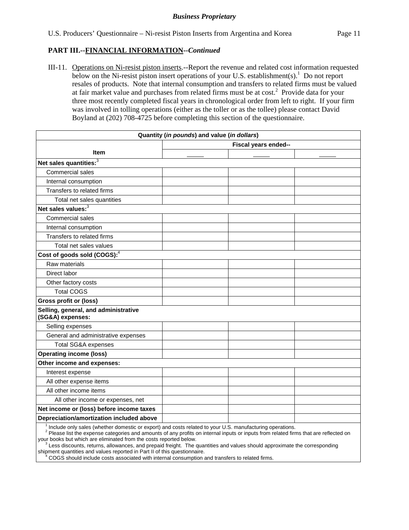III-11. Operations on Ni-resist piston inserts.--Report the revenue and related cost information requested below on the Ni-resist piston insert operations of your U.S. establishment(s).<sup>1</sup> Do not report resales of products. Note that internal consumption and transfers to related firms must be valued at fair market value and purchases from related firms must be at  $cost^2$ . Provide data for your three most recently completed fiscal years in chronological order from left to right. If your firm was involved in tolling operations (either as the toller or as the tollee) please contact David Boyland at (202) 708-4725 before completing this section of the questionnaire.

| Quantity (in pounds) and value (in dollars)                                                                           |                      |  |  |  |  |  |
|-----------------------------------------------------------------------------------------------------------------------|----------------------|--|--|--|--|--|
|                                                                                                                       | Fiscal years ended-- |  |  |  |  |  |
| <b>Item</b>                                                                                                           |                      |  |  |  |  |  |
| Net sales quantities: <sup>3</sup>                                                                                    |                      |  |  |  |  |  |
| Commercial sales                                                                                                      |                      |  |  |  |  |  |
| Internal consumption                                                                                                  |                      |  |  |  |  |  |
| Transfers to related firms                                                                                            |                      |  |  |  |  |  |
| Total net sales quantities                                                                                            |                      |  |  |  |  |  |
| Net sales values: <sup>3</sup>                                                                                        |                      |  |  |  |  |  |
| Commercial sales                                                                                                      |                      |  |  |  |  |  |
| Internal consumption                                                                                                  |                      |  |  |  |  |  |
| Transfers to related firms                                                                                            |                      |  |  |  |  |  |
| Total net sales values                                                                                                |                      |  |  |  |  |  |
| Cost of goods sold (COGS): <sup>4</sup>                                                                               |                      |  |  |  |  |  |
| Raw materials                                                                                                         |                      |  |  |  |  |  |
| Direct labor                                                                                                          |                      |  |  |  |  |  |
| Other factory costs                                                                                                   |                      |  |  |  |  |  |
| <b>Total COGS</b>                                                                                                     |                      |  |  |  |  |  |
| <b>Gross profit or (loss)</b>                                                                                         |                      |  |  |  |  |  |
| Selling, general, and administrative<br>(SG&A) expenses:                                                              |                      |  |  |  |  |  |
| Selling expenses                                                                                                      |                      |  |  |  |  |  |
| General and administrative expenses                                                                                   |                      |  |  |  |  |  |
| <b>Total SG&amp;A expenses</b>                                                                                        |                      |  |  |  |  |  |
| <b>Operating income (loss)</b>                                                                                        |                      |  |  |  |  |  |
| Other income and expenses:                                                                                            |                      |  |  |  |  |  |
| Interest expense                                                                                                      |                      |  |  |  |  |  |
| All other expense items                                                                                               |                      |  |  |  |  |  |
| All other income items                                                                                                |                      |  |  |  |  |  |
| All other income or expenses, net                                                                                     |                      |  |  |  |  |  |
| Net income or (loss) before income taxes                                                                              |                      |  |  |  |  |  |
| Depreciation/amortization included above                                                                              |                      |  |  |  |  |  |
| <sup>1</sup> Include only sales (whether domestic or export) and costs related to your U.S. manufacturing operations. |                      |  |  |  |  |  |

<sup>2</sup> Please list the expense categories and amounts of any profits on internal inputs or inputs from related firms that are reflected on your books but which are eliminated from the costs reported below.

 $\frac{3}{2}$ Less discounts, returns, allowances, and prepaid freight. The quantities and values should approximate the corresponding shipment quantities and values reported in Part II of this questionnaire.

<sup>4</sup> COGS should include costs associated with internal consumption and transfers to related firms.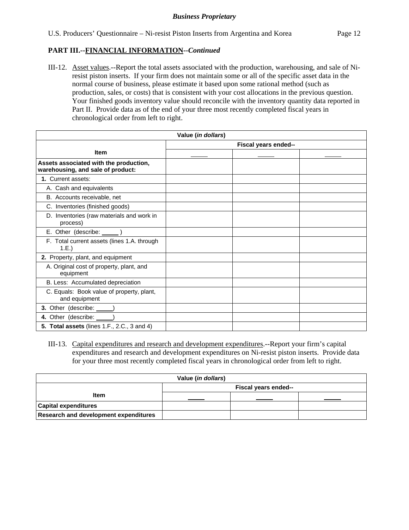III-12. Asset values.--Report the total assets associated with the production, warehousing, and sale of Niresist piston inserts. If your firm does not maintain some or all of the specific asset data in the normal course of business, please estimate it based upon some rational method (such as production, sales, or costs) that is consistent with your cost allocations in the previous question. Your finished goods inventory value should reconcile with the inventory quantity data reported in Part II. Provide data as of the end of your three most recently completed fiscal years in chronological order from left to right.

| Value ( <i>in dollars</i> )                                                 |  |  |  |  |
|-----------------------------------------------------------------------------|--|--|--|--|
| Fiscal years ended--                                                        |  |  |  |  |
| <b>Item</b>                                                                 |  |  |  |  |
| Assets associated with the production,<br>warehousing, and sale of product: |  |  |  |  |
| 1. Current assets:                                                          |  |  |  |  |
| A. Cash and equivalents                                                     |  |  |  |  |
| B. Accounts receivable, net                                                 |  |  |  |  |
| C. Inventories (finished goods)                                             |  |  |  |  |
| D. Inventories (raw materials and work in<br>process)                       |  |  |  |  |
| E. Other (describe: ______)                                                 |  |  |  |  |
| F. Total current assets (lines 1.A. through<br>1.E.)                        |  |  |  |  |
| 2. Property, plant, and equipment                                           |  |  |  |  |
| A. Original cost of property, plant, and<br>equipment                       |  |  |  |  |
| B. Less: Accumulated depreciation                                           |  |  |  |  |
| C. Equals: Book value of property, plant,<br>and equipment                  |  |  |  |  |
| 3. Other (describe: _____)                                                  |  |  |  |  |
| 4. Other (describe: ____                                                    |  |  |  |  |
| 5. Total assets (lines 1.F., 2.C., 3 and 4)                                 |  |  |  |  |

III-13. Capital expenditures and research and development expenditures.--Report your firm's capital expenditures and research and development expenditures on Ni-resist piston inserts. Provide data for your three most recently completed fiscal years in chronological order from left to right.

| Value ( <i>in dollars</i> )                  |                      |  |  |  |  |  |
|----------------------------------------------|----------------------|--|--|--|--|--|
|                                              | Fiscal years ended-- |  |  |  |  |  |
| <b>Item</b>                                  |                      |  |  |  |  |  |
| <b>Capital expenditures</b>                  |                      |  |  |  |  |  |
| <b>Research and development expenditures</b> |                      |  |  |  |  |  |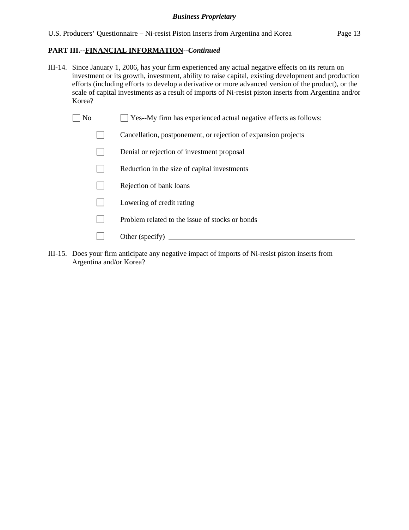- III-14. Since January 1, 2006, has your firm experienced any actual negative effects on its return on investment or its growth, investment, ability to raise capital, existing development and production efforts (including efforts to develop a derivative or more advanced version of the product), or the scale of capital investments as a result of imports of Ni-resist piston inserts from Argentina and/or Korea?
	- $\Box$  No  $\Box$  Yes--My firm has experienced actual negative effects as follows:
		- Cancellation, postponement, or rejection of expansion projects
		- Denial or rejection of investment proposal
		- $\Box$  Reduction in the size of capital investments
		- $\Box$  Rejection of bank loans
		- **Lowering of credit rating**
		- $\n$  Problem related to the issue of stocks or bonds
		- Other (specify)  $\Box$

 $\overline{a}$ 

 $\overline{a}$ 

 $\overline{a}$ 

III-15. Does your firm anticipate any negative impact of imports of Ni-resist piston inserts from Argentina and/or Korea?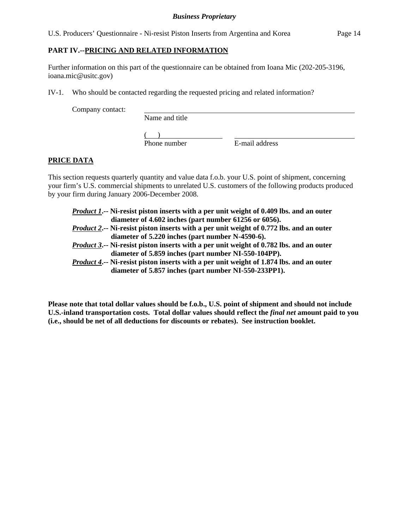U.S. Producers' Questionnaire - Ni-resist Piston Inserts from Argentina and Korea Page 14

# **PART IV.--PRICING AND RELATED INFORMATION**

Further information on this part of the questionnaire can be obtained from Ioana Mic (202-205-3196, ioana.mic@usitc.gov)

IV-1. Who should be contacted regarding the requested pricing and related information?

Company contact:

Name and title

 $\frac{1}{2}$ Phone number

E-mail address

# **PRICE DATA**

This section requests quarterly quantity and value data f.o.b. your U.S. point of shipment, concerning your firm's U.S. commercial shipments to unrelated U.S. customers of the following products produced by your firm during January 2006-December 2008.

*Product 1***.-- Ni-resist piston inserts with a per unit weight of 0.409 lbs. and an outer**  **diameter of 4.602 inches (part number 61256 or 6056).**  *Product 2***.-- Ni-resist piston inserts with a per unit weight of 0.772 lbs. and an outer diameter of 5.220 inches (part number N-4590-6).**  *Product 3***.-- Ni-resist piston inserts with a per unit weight of 0.782 lbs. and an outer diameter of 5.859 inches (part number NI-550-104PP).**  *Product 4***.-- Ni-resist piston inserts with a per unit weight of 1.874 lbs. and an outer diameter of 5.857 inches (part number NI-550-233PP1).** 

**Please note that total dollar values should be f.o.b., U.S. point of shipment and should not include U.S.-inland transportation costs. Total dollar values should reflect the** *final net* **amount paid to you (i.e., should be net of all deductions for discounts or rebates). See instruction booklet.**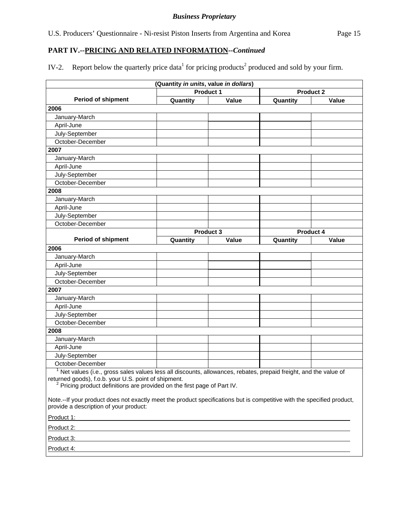# **PART IV.--PRICING AND RELATED INFORMATION***--Continued*

IV-2. Report below the quarterly price data<sup>1</sup> for pricing products<sup>2</sup> produced and sold by your firm.

| (Quantity in units, value in dollars)                                                                                                                                                                                                                                       |          |                  |                  |       |  |  |
|-----------------------------------------------------------------------------------------------------------------------------------------------------------------------------------------------------------------------------------------------------------------------------|----------|------------------|------------------|-------|--|--|
|                                                                                                                                                                                                                                                                             |          | <b>Product 1</b> | <b>Product 2</b> |       |  |  |
| <b>Period of shipment</b>                                                                                                                                                                                                                                                   | Quantity | Value            | Quantity         | Value |  |  |
| 2006                                                                                                                                                                                                                                                                        |          |                  |                  |       |  |  |
| January-March                                                                                                                                                                                                                                                               |          |                  |                  |       |  |  |
| April-June                                                                                                                                                                                                                                                                  |          |                  |                  |       |  |  |
| July-September                                                                                                                                                                                                                                                              |          |                  |                  |       |  |  |
| October-December                                                                                                                                                                                                                                                            |          |                  |                  |       |  |  |
| 2007                                                                                                                                                                                                                                                                        |          |                  |                  |       |  |  |
| January-March                                                                                                                                                                                                                                                               |          |                  |                  |       |  |  |
| April-June                                                                                                                                                                                                                                                                  |          |                  |                  |       |  |  |
| July-September                                                                                                                                                                                                                                                              |          |                  |                  |       |  |  |
| October-December                                                                                                                                                                                                                                                            |          |                  |                  |       |  |  |
| 2008                                                                                                                                                                                                                                                                        |          |                  |                  |       |  |  |
| January-March                                                                                                                                                                                                                                                               |          |                  |                  |       |  |  |
| April-June                                                                                                                                                                                                                                                                  |          |                  |                  |       |  |  |
| July-September                                                                                                                                                                                                                                                              |          |                  |                  |       |  |  |
| October-December                                                                                                                                                                                                                                                            |          |                  |                  |       |  |  |
|                                                                                                                                                                                                                                                                             |          | <b>Product 3</b> | <b>Product 4</b> |       |  |  |
| <b>Period of shipment</b>                                                                                                                                                                                                                                                   | Quantity | Value            | Quantity         | Value |  |  |
| 2006                                                                                                                                                                                                                                                                        |          |                  |                  |       |  |  |
| January-March                                                                                                                                                                                                                                                               |          |                  |                  |       |  |  |
| April-June                                                                                                                                                                                                                                                                  |          |                  |                  |       |  |  |
| July-September                                                                                                                                                                                                                                                              |          |                  |                  |       |  |  |
| October-December                                                                                                                                                                                                                                                            |          |                  |                  |       |  |  |
| 2007                                                                                                                                                                                                                                                                        |          |                  |                  |       |  |  |
| January-March                                                                                                                                                                                                                                                               |          |                  |                  |       |  |  |
| April-June                                                                                                                                                                                                                                                                  |          |                  |                  |       |  |  |
| July-September                                                                                                                                                                                                                                                              |          |                  |                  |       |  |  |
| October-December                                                                                                                                                                                                                                                            |          |                  |                  |       |  |  |
| 2008                                                                                                                                                                                                                                                                        |          |                  |                  |       |  |  |
| January-March                                                                                                                                                                                                                                                               |          |                  |                  |       |  |  |
| April-June                                                                                                                                                                                                                                                                  |          |                  |                  |       |  |  |
| July-September                                                                                                                                                                                                                                                              |          |                  |                  |       |  |  |
| October-December                                                                                                                                                                                                                                                            |          |                  |                  |       |  |  |
| <sup>1</sup> Net values (i.e., gross sales values less all discounts, allowances, rebates, prepaid freight, and the value of<br>returned goods), f.o.b. your U.S. point of shipment.<br><sup>2</sup> Pricing product definitions are provided on the first page of Part IV. |          |                  |                  |       |  |  |
| Note.--If your product does not exactly meet the product specifications but is competitive with the specified product,<br>provide a description of your product:                                                                                                            |          |                  |                  |       |  |  |
| Product 1: Product 1:                                                                                                                                                                                                                                                       |          |                  |                  |       |  |  |
| Product 2: <b>Product 2: Product 2: Product 2: Product 2: Product 2: Product 2: Product 2: Product 2: Product 2: Product 2: Product 2: Product 2: Product 2: Product 2: Product 2: Product 2: Pr</b>                                                                        |          |                  |                  |       |  |  |
| Product 3:                                                                                                                                                                                                                                                                  |          |                  |                  |       |  |  |
| Product 4:                                                                                                                                                                                                                                                                  |          |                  |                  |       |  |  |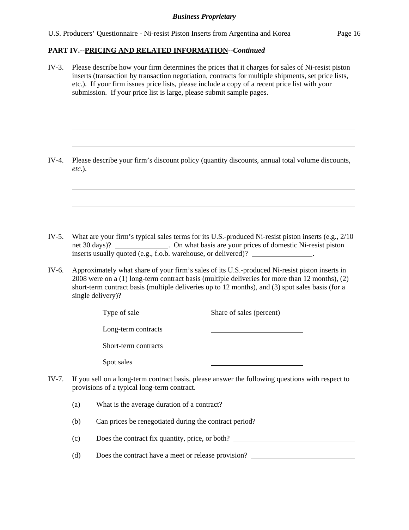### **PART IV.--PRICING AND RELATED INFORMATION***--Continued*

IV-3. Please describe how your firm determines the prices that it charges for sales of Ni-resist piston inserts (transaction by transaction negotiation, contracts for multiple shipments, set price lists, etc.). If your firm issues price lists, please include a copy of a recent price list with your submission. If your price list is large, please submit sample pages. l  $\overline{a}$  $\overline{a}$ IV-4. Please describe your firm's discount policy (quantity discounts, annual total volume discounts, *etc.*).  $\overline{a}$  $\overline{a}$  $\overline{a}$ IV-5. What are your firm's typical sales terms for its U.S.-produced Ni-resist piston inserts (e.g., 2/10 net 30 days)? . On what basis are your prices of domestic Ni-resist piston inserts usually quoted (e.g., f.o.b. warehouse, or delivered)? \_\_\_\_\_\_\_\_\_\_\_\_\_\_. IV-6. Approximately what share of your firm's sales of its U.S.-produced Ni-resist piston inserts in 2008 were on a (1) long-term contract basis (multiple deliveries for more than 12 months), (2) short-term contract basis (multiple deliveries up to 12 months), and (3) spot sales basis (for a single delivery)? Type of sale Share of sales (percent) Long-term contracts Short-term contracts Spot sales IV-7. If you sell on a long-term contract basis, please answer the following questions with respect to provisions of a typical long-term contract. (a) What is the average duration of a contract? (b) Can prices be renegotiated during the contract period? (c) Does the contract fix quantity, price, or both? (d) Does the contract have a meet or release provision?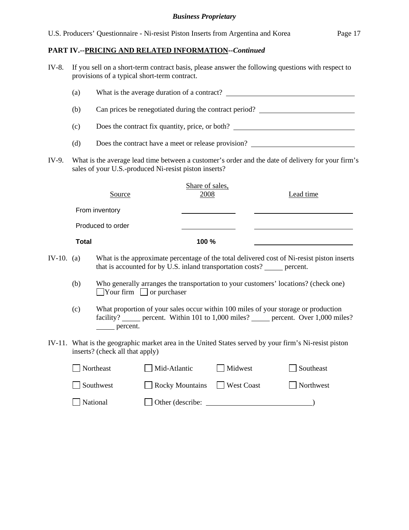# **PART IV.--PRICING AND RELATED INFORMATION***--Continued*

| IV-8.        |                                                        | If you sell on a short-term contract basis, please answer the following questions with respect to<br>provisions of a typical short-term contract. |                                                                                                                             |                   |                                                                                                       |  |  |  |  |  |
|--------------|--------------------------------------------------------|---------------------------------------------------------------------------------------------------------------------------------------------------|-----------------------------------------------------------------------------------------------------------------------------|-------------------|-------------------------------------------------------------------------------------------------------|--|--|--|--|--|
|              | (a)                                                    |                                                                                                                                                   |                                                                                                                             |                   |                                                                                                       |  |  |  |  |  |
|              | (b)                                                    | Can prices be renegotiated during the contract period?                                                                                            |                                                                                                                             |                   |                                                                                                       |  |  |  |  |  |
|              | Does the contract fix quantity, price, or both?<br>(c) |                                                                                                                                                   |                                                                                                                             |                   |                                                                                                       |  |  |  |  |  |
|              | (d)                                                    |                                                                                                                                                   |                                                                                                                             |                   | Does the contract have a meet or release provision? _____________________________                     |  |  |  |  |  |
| IV-9.        |                                                        |                                                                                                                                                   | sales of your U.S.-produced Ni-resist piston inserts?                                                                       |                   | What is the average lead time between a customer's order and the date of delivery for your firm's     |  |  |  |  |  |
|              |                                                        | Source                                                                                                                                            | Share of sales,<br>2008                                                                                                     |                   | Lead time                                                                                             |  |  |  |  |  |
|              |                                                        | From inventory                                                                                                                                    |                                                                                                                             |                   |                                                                                                       |  |  |  |  |  |
|              |                                                        | Produced to order                                                                                                                                 |                                                                                                                             |                   |                                                                                                       |  |  |  |  |  |
|              | <b>Total</b>                                           |                                                                                                                                                   | 100 %                                                                                                                       |                   |                                                                                                       |  |  |  |  |  |
| IV-10. $(a)$ |                                                        |                                                                                                                                                   | that is accounted for by U.S. inland transportation costs? ______ percent.                                                  |                   | What is the approximate percentage of the total delivered cost of Ni-resist piston inserts            |  |  |  |  |  |
|              | (b)                                                    |                                                                                                                                                   | Who generally arranges the transportation to your customers' locations? (check one)<br>$\Box$ Your firm $\Box$ or purchaser |                   |                                                                                                       |  |  |  |  |  |
|              | (c)                                                    | ______ percent.                                                                                                                                   | What proportion of your sales occur within 100 miles of your storage or production                                          |                   | facility? _____ percent. Within 101 to 1,000 miles? _____ percent. Over 1,000 miles?                  |  |  |  |  |  |
|              |                                                        | inserts? (check all that apply)                                                                                                                   |                                                                                                                             |                   | IV-11. What is the geographic market area in the United States served by your firm's Ni-resist piston |  |  |  |  |  |
|              |                                                        | Northeast                                                                                                                                         | Mid-Atlantic                                                                                                                | Midwest           | Southeast                                                                                             |  |  |  |  |  |
|              |                                                        | Southwest                                                                                                                                         | <b>Rocky Mountains</b>                                                                                                      | <b>West Coast</b> | Northwest                                                                                             |  |  |  |  |  |
|              |                                                        | National                                                                                                                                          | Other (describe:                                                                                                            |                   |                                                                                                       |  |  |  |  |  |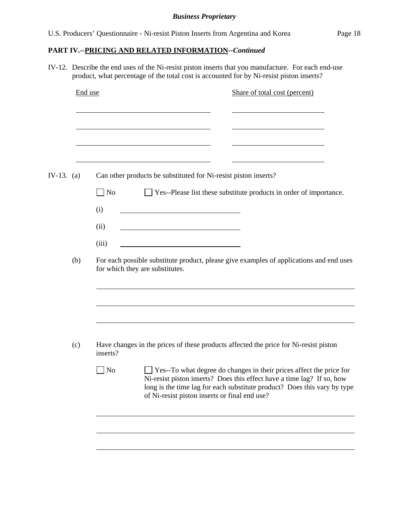# **PART IV.--PRICING AND RELATED INFORMATION***--Continued*

IV-12. Describe the end uses of the Ni-resist piston inserts that you manufacture. For each end-use product, what percentage of the total cost is accounted for by Ni-resist piston inserts?

| End use    |                             |                                 | Share of total cost (percent)                                                           |  |
|------------|-----------------------------|---------------------------------|-----------------------------------------------------------------------------------------|--|
|            |                             |                                 |                                                                                         |  |
| IV-13. (a) |                             |                                 | Can other products be substituted for Ni-resist piston inserts?                         |  |
|            | $\overline{\phantom{a}}$ No |                                 | □ Yes--Please list these substitute products in order of importance.                    |  |
|            | (i)                         |                                 |                                                                                         |  |
|            | (ii)                        |                                 |                                                                                         |  |
|            | (iii)                       |                                 |                                                                                         |  |
|            |                             |                                 |                                                                                         |  |
| (b)        |                             | for which they are substitutes. | For each possible substitute product, please give examples of applications and end uses |  |
|            |                             |                                 |                                                                                         |  |
|            |                             |                                 |                                                                                         |  |
| (c)        | inserts?                    |                                 | Have changes in the prices of these products affected the price for Ni-resist piston    |  |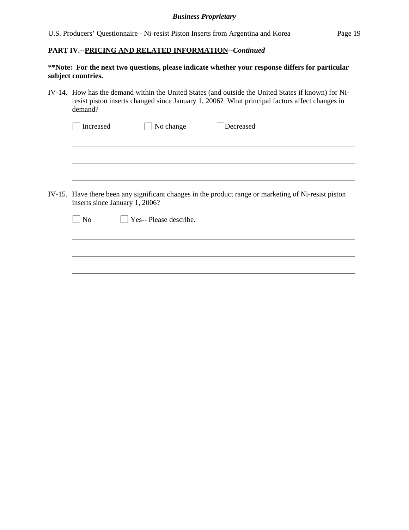### **PART IV.--PRICING AND RELATED INFORMATION***--Continued*

## **\*\*Note: For the next two questions, please indicate whether your response differs for particular subject countries.**

IV-14. How has the demand within the United States (and outside the United States if known) for Niresist piston inserts changed since January 1, 2006? What principal factors affect changes in demand?

| Increased | $\Box$ No change | Decreased |  |
|-----------|------------------|-----------|--|
|           |                  |           |  |

IV-15. Have there been any significant changes in the product range or marketing of Ni-resist piston inserts since January 1, 2006?

l

 $\overline{a}$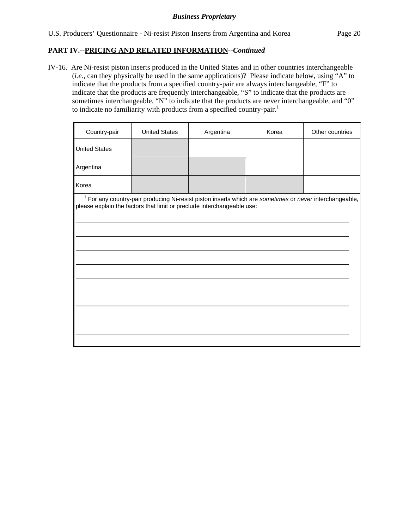### **PART IV.--PRICING AND RELATED INFORMATION***--Continued*

IV-16. Are Ni-resist piston inserts produced in the United States and in other countries interchangeable (*i.e.*, can they physically be used in the same applications)? Please indicate below, using "A" to indicate that the products from a specified country-pair are always interchangeable, "F" to indicate that the products are frequently interchangeable, "S" to indicate that the products are sometimes interchangeable, "N" to indicate that the products are never interchangeable, and "0" to indicate no familiarity with products from a specified country-pair.<sup>1</sup>

| Country-pair         | <b>United States</b>                                                                                                                                                                         | Argentina | Korea | Other countries |
|----------------------|----------------------------------------------------------------------------------------------------------------------------------------------------------------------------------------------|-----------|-------|-----------------|
| <b>United States</b> |                                                                                                                                                                                              |           |       |                 |
| Argentina            |                                                                                                                                                                                              |           |       |                 |
| Korea                |                                                                                                                                                                                              |           |       |                 |
|                      | <sup>1</sup> For any country-pair producing Ni-resist piston inserts which are sometimes or never interchangeable,<br>please explain the factors that limit or preclude interchangeable use: |           |       |                 |
|                      |                                                                                                                                                                                              |           |       |                 |
|                      |                                                                                                                                                                                              |           |       |                 |
|                      |                                                                                                                                                                                              |           |       |                 |
|                      |                                                                                                                                                                                              |           |       |                 |
|                      |                                                                                                                                                                                              |           |       |                 |
|                      |                                                                                                                                                                                              |           |       |                 |
|                      |                                                                                                                                                                                              |           |       |                 |
|                      |                                                                                                                                                                                              |           |       |                 |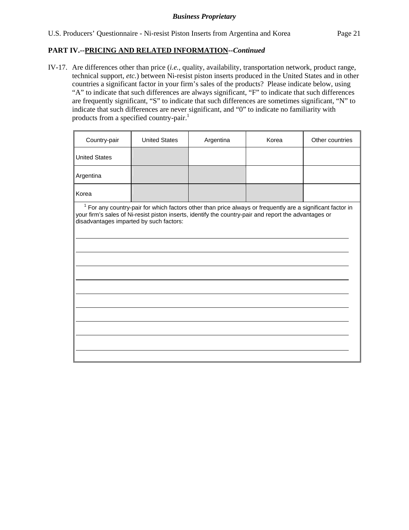## **PART IV.--PRICING AND RELATED INFORMATION***--Continued*

IV-17. Are differences other than price (*i.e.*, quality, availability, transportation network, product range, technical support, *etc.*) between Ni-resist piston inserts produced in the United States and in other countries a significant factor in your firm's sales of the products? Please indicate below, using "A" to indicate that such differences are always significant, "F" to indicate that such differences are frequently significant, "S" to indicate that such differences are sometimes significant, "N" to indicate that such differences are never significant, and "0" to indicate no familiarity with products from a specified country-pair.<sup>1</sup>

| Country-pair                            | <b>United States</b>                                                                                                                                                                                                  | Argentina | Korea | Other countries |
|-----------------------------------------|-----------------------------------------------------------------------------------------------------------------------------------------------------------------------------------------------------------------------|-----------|-------|-----------------|
| <b>United States</b>                    |                                                                                                                                                                                                                       |           |       |                 |
| Argentina                               |                                                                                                                                                                                                                       |           |       |                 |
| Korea                                   |                                                                                                                                                                                                                       |           |       |                 |
| disadvantages imparted by such factors: | $1$ For any country-pair for which factors other than price always or frequently are a significant factor in<br>your firm's sales of Ni-resist piston inserts, identify the country-pair and report the advantages or |           |       |                 |
|                                         |                                                                                                                                                                                                                       |           |       |                 |
|                                         |                                                                                                                                                                                                                       |           |       |                 |
|                                         |                                                                                                                                                                                                                       |           |       |                 |
|                                         |                                                                                                                                                                                                                       |           |       |                 |
|                                         |                                                                                                                                                                                                                       |           |       |                 |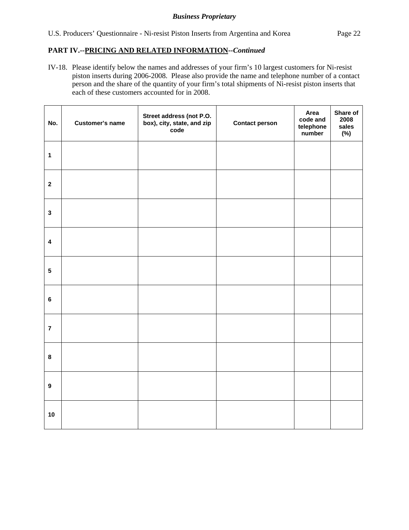# **PART IV.--PRICING AND RELATED INFORMATION***--Continued*

IV-18. Please identify below the names and addresses of your firm's 10 largest customers for Ni-resist piston inserts during 2006-2008. Please also provide the name and telephone number of a contact person and the share of the quantity of your firm's total shipments of Ni-resist piston inserts that each of these customers accounted for in 2008.

| No.                     | <b>Customer's name</b> | Street address (not P.O.<br>box), city, state, and zip<br>code | <b>Contact person</b> | Area<br>code and<br>telephone<br>number | Share of<br>2008<br>sales<br>$(\%)$ |
|-------------------------|------------------------|----------------------------------------------------------------|-----------------------|-----------------------------------------|-------------------------------------|
| $\mathbf{1}$            |                        |                                                                |                       |                                         |                                     |
| $\overline{2}$          |                        |                                                                |                       |                                         |                                     |
| $\mathbf{3}$            |                        |                                                                |                       |                                         |                                     |
| $\overline{\mathbf{4}}$ |                        |                                                                |                       |                                         |                                     |
| $5\phantom{.0}$         |                        |                                                                |                       |                                         |                                     |
| $\bf 6$                 |                        |                                                                |                       |                                         |                                     |
| $\overline{7}$          |                        |                                                                |                       |                                         |                                     |
| $\bf 8$                 |                        |                                                                |                       |                                         |                                     |
| $\boldsymbol{9}$        |                        |                                                                |                       |                                         |                                     |
| 10                      |                        |                                                                |                       |                                         |                                     |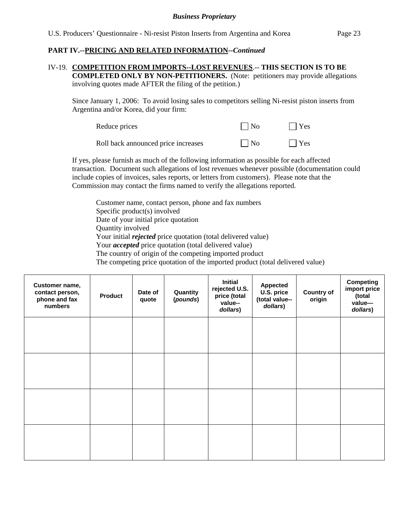### **PART IV.--PRICING AND RELATED INFORMATION***--Continued*

#### IV-19. **COMPETITION FROM IMPORTS--LOST REVENUES**.-- **THIS SECTION IS TO BE COMPLETED ONLY BY NON-PETITIONERS.** (Note: petitioners may provide allegations involving quotes made AFTER the filing of the petition.)

Since January 1, 2006: To avoid losing sales to competitors selling Ni-resist piston inserts from Argentina and/or Korea, did your firm:

| Reduce prices                       | $\Box$ No | $\Box$ Yes |
|-------------------------------------|-----------|------------|
| Roll back announced price increases | $\Box$ No | $\Box$ Yes |

If yes, please furnish as much of the following information as possible for each affected transaction. Document such allegations of lost revenues whenever possible (documentation could include copies of invoices, sales reports, or letters from customers). Please note that the Commission may contact the firms named to verify the allegations reported.

Customer name, contact person, phone and fax numbers Specific product(s) involved Date of your initial price quotation Quantity involved Your initial *rejected* price quotation (total delivered value) Your *accepted* price quotation (total delivered value) The country of origin of the competing imported product The competing price quotation of the imported product (total delivered value)

| Customer name,<br>contact person,<br>phone and fax<br>numbers | <b>Product</b> | Date of<br>quote | Quantity<br>(pounds) | <b>Initial</b><br>rejected U.S.<br>price (total<br>value--<br>dollars) | <b>Appected</b><br>U.S. price<br>(total value--<br>dollars) | <b>Country of</b><br>origin | <b>Competing</b><br>import price<br>(total<br>value-<br>dollars) |
|---------------------------------------------------------------|----------------|------------------|----------------------|------------------------------------------------------------------------|-------------------------------------------------------------|-----------------------------|------------------------------------------------------------------|
|                                                               |                |                  |                      |                                                                        |                                                             |                             |                                                                  |
|                                                               |                |                  |                      |                                                                        |                                                             |                             |                                                                  |
|                                                               |                |                  |                      |                                                                        |                                                             |                             |                                                                  |
|                                                               |                |                  |                      |                                                                        |                                                             |                             |                                                                  |